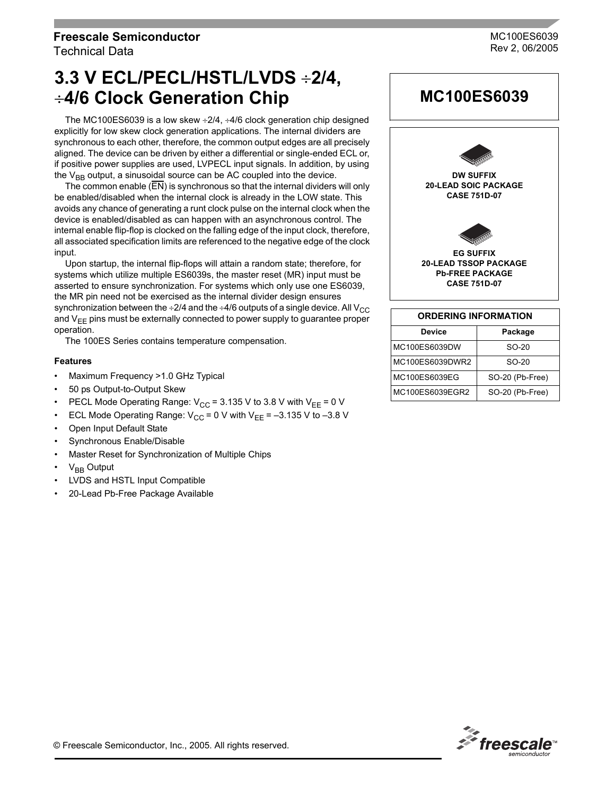# **Freescale Semiconductor** Technical Data

**3.3 V ECL/PECL/HSTL/LVDS** ÷**2/4,** ÷**4/6 Clock Generation Chip**

The MC100ES6039 is a low skew ÷2/4, ÷4/6 clock generation chip designed explicitly for low skew clock generation applications. The internal dividers are synchronous to each other, therefore, the common output edges are all precisely aligned. The device can be driven by either a differential or single-ended ECL or, if positive power supplies are used, LVPECL input signals. In addition, by using the  $V_{BB}$  output, a sinusoidal source can be AC coupled into the device.

The common enable (EN) is synchronous so that the internal dividers will only be enabled/disabled when the internal clock is already in the LOW state. This avoids any chance of generating a runt clock pulse on the internal clock when the device is enabled/disabled as can happen with an asynchronous control. The internal enable flip-flop is clocked on the falling edge of the input clock, therefore, all associated specification limits are referenced to the negative edge of the clock input.

Upon startup, the internal flip-flops will attain a random state; therefore, for systems which utilize multiple ES6039s, the master reset (MR) input must be asserted to ensure synchronization. For systems which only use one ES6039, the MR pin need not be exercised as the internal divider design ensures synchronization between the  $\div 2/4$  and the  $\div 4/6$  outputs of a single device. All V<sub>CC</sub> and  $V_{EE}$  pins must be externally connected to power supply to guarantee proper operation.

The 100ES Series contains temperature compensation.

### **Features**

- Maximum Frequency >1.0 GHz Typical
- 50 ps Output-to-Output Skew
- PECL Mode Operating Range:  $V_{CC}$  = 3.135 V to 3.8 V with  $V_{EF}$  = 0 V
- ECL Mode Operating Range:  $V_{CC} = 0$  V with V<sub>EE</sub> = -3.135 V to -3.8 V
- Open Input Default State
- Synchronous Enable/Disable
- Master Reset for Synchronization of Multiple Chips
- $V_{BB}$  Output
- LVDS and HSTL Input Compatible
- 20-Lead Pb-Free Package Available



**MC100ES6039**

| <b>ORDERING INFORMATION</b> |                 |  |  |  |  |
|-----------------------------|-----------------|--|--|--|--|
| Device                      | Package         |  |  |  |  |
| MC100ES6039DW               | $SO-20$         |  |  |  |  |
| MC100ES6039DWR2             | $SO-20$         |  |  |  |  |
| MC100ES6039EG               | SO-20 (Pb-Free) |  |  |  |  |
| MC100ES6039EGR2             | SO-20 (Pb-Free) |  |  |  |  |



MC100ES6039 Rev 2, 06/2005

© Freescale Semiconductor, Inc., 2005. All rights reserved.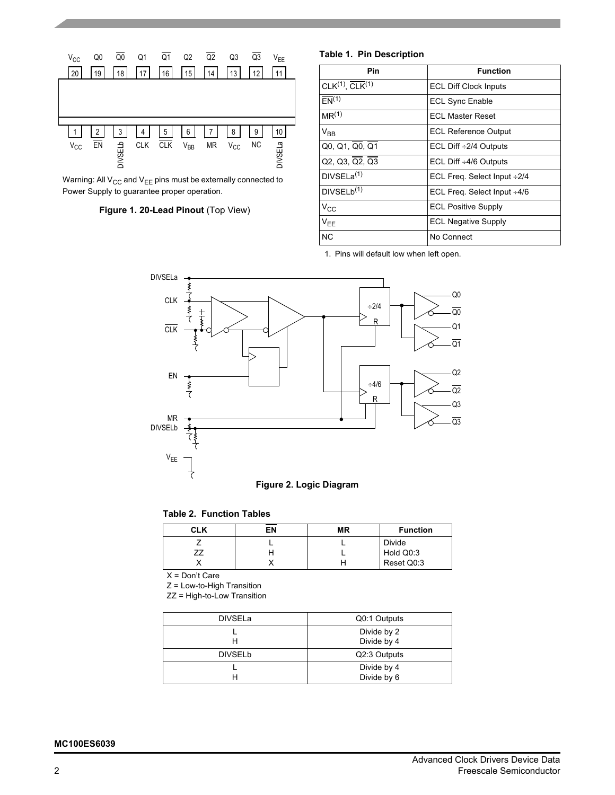

Warning: All  $V_{CC}$  and  $V_{EE}$  pins must be externally connected to Power Supply to guarantee proper operation.

# **Figure 1. 20-Lead Pinout** (Top View)

### **Table 1. Pin Description**

| Pin                         | <b>Function</b>                   |
|-----------------------------|-----------------------------------|
| $CLK(1), \overline{CLK}(1)$ | <b>ECL Diff Clock Inputs</b>      |
| $E(N^{(1)}$                 | <b>ECL Sync Enable</b>            |
| MR <sup>(1)</sup>           | <b>ECL Master Reset</b>           |
| $V_{BB}$                    | <b>ECL Reference Output</b>       |
| Q0, Q1, Q0, Q1              | ECL Diff $\div 2/4$ Outputs       |
| Q2, Q3, Q2, Q3              | ECL Diff $\div 4/6$ Outputs       |
| DIVSELa $(1)$               | ECL Freq. Select Input ÷2/4       |
| DIVSELb <sup>(1)</sup>      | ECL Freq. Select Input $\div 4/6$ |
| $V_{CC}$                    | <b>ECL Positive Supply</b>        |
| $V_{EE}$                    | <b>ECL Negative Supply</b>        |
| <b>NC</b>                   | No Connect                        |

1. Pins will default low when left open.



## **Table 2. Function Tables**

| <b>CLK</b> | ΕN | <b>MR</b> | <b>Function</b> |
|------------|----|-----------|-----------------|
|            |    |           | <b>Divide</b>   |
|            |    |           | Hold Q0:3       |
|            |    |           | Reset Q0:3      |

 $X = Don't Care$ 

Z = Low-to-High Transition

ZZ = High-to-Low Transition

| <b>DIVSELa</b> | Q0:1 Outputs               |
|----------------|----------------------------|
|                | Divide by 2<br>Divide by 4 |
| <b>DIVSELb</b> | Q2:3 Outputs               |
|                | Divide by 4<br>Divide by 6 |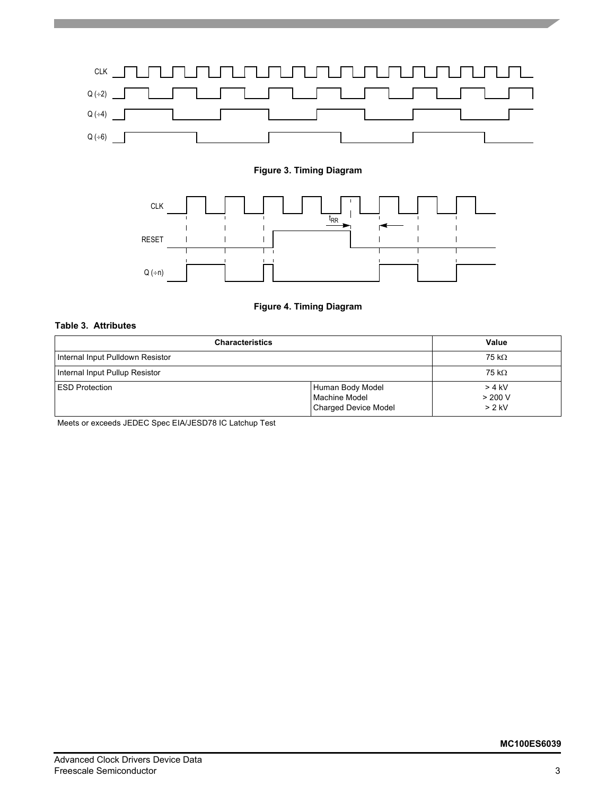

# **Figure 3. Timing Diagram**



# **Figure 4. Timing Diagram**

# **Table 3. Attributes**

| <b>Characteristics</b>           | Value                                                            |                               |
|----------------------------------|------------------------------------------------------------------|-------------------------------|
| Internal Input Pulldown Resistor | 75 k $\Omega$                                                    |                               |
| Internal Input Pullup Resistor   | 75 k $\Omega$                                                    |                               |
| <b>IESD Protection</b>           | Human Body Model<br>Machine Model<br><b>Charged Device Model</b> | > 4 kV<br>> 200 V<br>$> 2$ kV |

Meets or exceeds JEDEC Spec EIA/JESD78 IC Latchup Test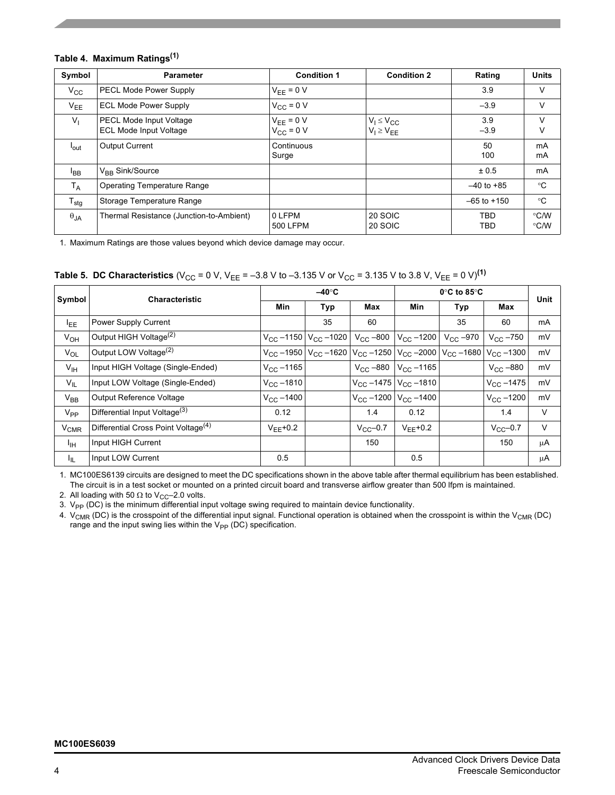# **Table 4. Maximum Ratings(1)**

| Symbol           | <b>Parameter</b>                                                | <b>Condition 1</b>               | <b>Condition 2</b>                     | Rating          | <b>Units</b>          |
|------------------|-----------------------------------------------------------------|----------------------------------|----------------------------------------|-----------------|-----------------------|
| $V_{CC}$         | <b>PECL Mode Power Supply</b>                                   | $V_{FF} = 0 V$                   |                                        | 3.9             | V                     |
| $V_{EE}$         | <b>ECL Mode Power Supply</b>                                    | $V_{CC} = 0 V$                   |                                        | $-3.9$          | V                     |
| V <sub>1</sub>   | <b>PECL Mode Input Voltage</b><br><b>ECL Mode Input Voltage</b> | $V_{EE} = 0 V$<br>$V_{CC} = 0 V$ | $V_1 \leq V_{CC}$<br>$V_1 \geq V_{EE}$ | 3.9<br>$-3.9$   | $\vee$<br>V           |
| <sup>l</sup> out | <b>Output Current</b>                                           | Continuous<br>Surge              |                                        | 50<br>100       | mA<br>mA              |
| $I_{BB}$         | $V_{BR}$ Sink/Source                                            |                                  |                                        | ± 0.5           | mA                    |
| $T_A$            | <b>Operating Temperature Range</b>                              |                                  |                                        | $-40$ to $+85$  | $^{\circ}C$           |
| $T_{\text{stg}}$ | Storage Temperature Range                                       |                                  |                                        | $-65$ to $+150$ | $^{\circ}C$           |
| $\theta_{JA}$    | Thermal Resistance (Junction-to-Ambient)                        | 0 LFPM<br>500 LFPM               | 20 SOIC<br>20 SOIC                     | TBD<br>TBD      | $\degree$ C/W<br>°C/W |

1. Maximum Ratings are those values beyond which device damage may occur.

|  |  |  |  | <b>Table 5. DC Characteristics</b> (V <sub>CC</sub> = 0 V, V <sub>EE</sub> = –3.8 V to –3.135 V or V <sub>CC</sub> = 3.135 V to 3.8 V, V <sub>EE</sub> = 0 V) <sup>(1)</sup> |  |
|--|--|--|--|------------------------------------------------------------------------------------------------------------------------------------------------------------------------------|--|
|--|--|--|--|------------------------------------------------------------------------------------------------------------------------------------------------------------------------------|--|

| Symbol                 | <b>Characteristic</b>                           |                        | $-40^\circ C$                      |                                                                                                                                               | $0^\circ$ C to 85 $^\circ$ C   | Unit              |                     |         |
|------------------------|-------------------------------------------------|------------------------|------------------------------------|-----------------------------------------------------------------------------------------------------------------------------------------------|--------------------------------|-------------------|---------------------|---------|
|                        |                                                 | <b>Min</b>             | <b>Typ</b>                         | Max                                                                                                                                           | <b>Min</b>                     | Typ               | Max                 |         |
| $I_{EE}$               | Power Supply Current                            |                        | 35                                 | 60                                                                                                                                            |                                | 35                | 60                  | mA      |
| $V_{OH}$               | Output HIGH Voltage <sup>(2)</sup>              |                        | $V_{CC}$ –1150 $ V_{CC}$ –1020 $ $ | $V_{\rm CC}$ –800                                                                                                                             | $V_{\text{CC}} - 1200$         | $V_{\rm CC}$ –970 | $V_{\rm CC}$ -750   | mV      |
| $V_{OL}$               | Output LOW Voltage <sup>(2)</sup>               |                        |                                    | $V_{\text{CC}}$ –1950   $V_{\text{CC}}$ –1620   $V_{\text{CC}}$ –1250   $V_{\text{CC}}$ –2000   $V_{\text{CC}}$ –1680   $V_{\text{CC}}$ –1300 |                                |                   |                     | mV      |
| $V_{\text{IH}}$        | Input HIGH Voltage (Single-Ended)               | $V_{\rm CC}$ –1165     |                                    | $V_{CC}$ –880                                                                                                                                 | $V_{CC}$ –1165                 |                   | $V_{CC}$ –880       | mV      |
| $V_{\parallel}$        | Input LOW Voltage (Single-Ended)                | $V_{\text{CC}} - 1810$ |                                    |                                                                                                                                               | $V_{CC}$ –1475 $ V_{CC}$ –1810 |                   | $V_{\rm CC} - 1475$ | mV      |
| $V_{BB}$               | Output Reference Voltage                        | $V_{\rm CC}$ –1400     |                                    | $V_{CC}$ -1200                                                                                                                                | $V_{\rm CC} - 1400$            |                   | $V_{\rm CC} - 1200$ | mV      |
| V <sub>PP</sub>        | Differential Input Voltage <sup>(3)</sup>       | 0.12                   |                                    | 1.4                                                                                                                                           | 0.12                           |                   | 1.4                 | V       |
| <b>V<sub>CMR</sub></b> | Differential Cross Point Voltage <sup>(4)</sup> | $V_{FF}$ +0.2          |                                    | $V_{CC}$ -0.7                                                                                                                                 | $V_{FF}$ +0.2                  |                   | $V_{CC}$ -0.7       | V       |
| $I_{\text{IH}}$        | Input HIGH Current                              |                        |                                    | 150                                                                                                                                           |                                |                   | 150                 | $\mu$ A |
| ЧL.                    | Input LOW Current                               | 0.5                    |                                    |                                                                                                                                               | 0.5                            |                   |                     | μA      |

1. MC100ES6139 circuits are designed to meet the DC specifications shown in the above table after thermal equilibrium has been established. The circuit is in a test socket or mounted on a printed circuit board and transverse airflow greater than 500 lfpm is maintained.

2. All loading with 50  $\Omega$  to V<sub>CC</sub>–2.0 volts.

3.  $V_{\sf PP}$  (DC) is the minimum differential input voltage swing required to maintain device functionality.

4.  $\rm{V_{CMR}}$  (DC) is the crosspoint of the differential input signal. Functional operation is obtained when the crosspoint is within the V<sub>CMR</sub> (DC) range and the input swing lies within the  $V_{PP}$  (DC) specification.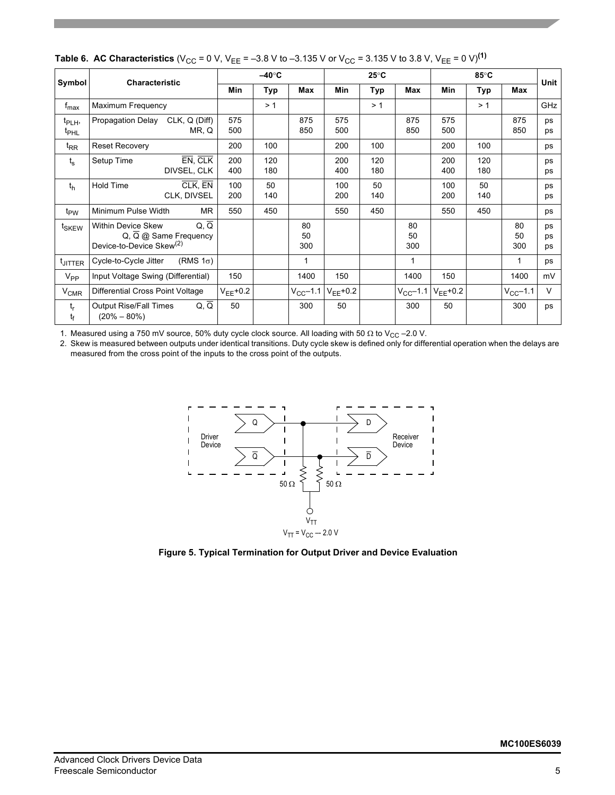|                                        | Symbol<br><b>Characteristic</b>                            |                               | $-40^\circ C$ |            | $25^{\circ}$ C  |               |            | 85°C            |                             |            | <b>Unit</b>     |                       |
|----------------------------------------|------------------------------------------------------------|-------------------------------|---------------|------------|-----------------|---------------|------------|-----------------|-----------------------------|------------|-----------------|-----------------------|
|                                        |                                                            |                               | Min           | Typ        | Max             | Min           | Typ        | Max             | Min                         | Typ        | Max             |                       |
| $f_{\text{max}}$                       | Maximum Frequency                                          |                               |               | >1         |                 |               | >1         |                 |                             | >1         |                 | GHz                   |
| t <sub>PLH</sub> ,<br>t <sub>PHL</sub> | Propagation Delay                                          | $CLK, Q$ (Diff)<br>MR, Q      | 575<br>500    |            | 875<br>850      | 575<br>500    |            | 875<br>850      | 575<br>500                  |            | 875<br>850      | ps<br>ps              |
| $t_{RR}$                               | <b>Reset Recovery</b>                                      |                               | 200           | 100        |                 | 200           | 100        |                 | 200                         | 100        |                 | ps                    |
| $t_{\rm s}$                            | Setup Time                                                 | EN, CLK<br>DIVSEL, CLK        | 200<br>400    | 120<br>180 |                 | 200<br>400    | 120<br>180 |                 | 200<br>400                  | 120<br>180 |                 | ps<br>ps              |
| $t_{h}$                                | <b>Hold Time</b>                                           | CLK. EN<br>CLK, DIVSEL        | 100<br>200    | 50<br>140  |                 | 100<br>200    | 50<br>140  |                 | 100<br>200                  | 50<br>140  |                 | ps<br>ps              |
| t <sub>PW</sub>                        | Minimum Pulse Width                                        | <b>MR</b>                     | 550           | 450        |                 | 550           | 450        |                 | 550                         | 450        |                 | ps                    |
| t <sub>SKEW</sub>                      | Within Device Skew<br>Device-to-Device Skew <sup>(2)</sup> | Q, Q<br>Q, Q @ Same Frequency |               |            | 80<br>50<br>300 |               |            | 80<br>50<br>300 |                             |            | 80<br>50<br>300 | ps<br><b>DS</b><br>ps |
| <sup>t</sup> JITTER                    | Cycle-to-Cycle Jitter                                      | (RMS $1\sigma$ )              |               |            | 1               |               |            | $\mathbf{1}$    |                             |            | 1               | ps                    |
| $V_{PP}$                               | Input Voltage Swing (Differential)                         |                               | 150           |            | 1400            | 150           |            | 1400            | 150                         |            | 1400            | mV                    |
| <b>V<sub>CMR</sub></b>                 | Differential Cross Point Voltage                           |                               | $V_{FF}$ +0.2 |            | $V_{CC}$ -1.1   | $V_{EE}$ +0.2 |            |                 | $V_{CC}$ –1.1 $V_{FF}$ +0.2 |            | $V_{CC}$ -1.1   | $\vee$                |
| $t_r$<br>t <sub>f</sub>                | <b>Output Rise/Fall Times</b><br>$(20\% - 80\%)$           | $Q, \overline{Q}$             | 50            |            | 300             | 50            |            | 300             | 50                          |            | 300             | ps                    |

**Table 6. AC Characteristics** (V<sub>CC</sub> = 0 V, V<sub>EE</sub> = -3.8 V to -3.135 V or V<sub>CC</sub> = 3.135 V to 3.8 V, V<sub>EE</sub> = 0 V)<sup>(1)</sup>

1. Measured using a 750 mV source, 50% duty cycle clock source. All loading with 50  $\Omega$  to V<sub>CC</sub> -2.0 V.

2. Skew is measured between outputs under identical transitions. Duty cycle skew is defined only for differential operation when the delays are measured from the cross point of the inputs to the cross point of the outputs.



**Figure 5. Typical Termination for Output Driver and Device Evaluation**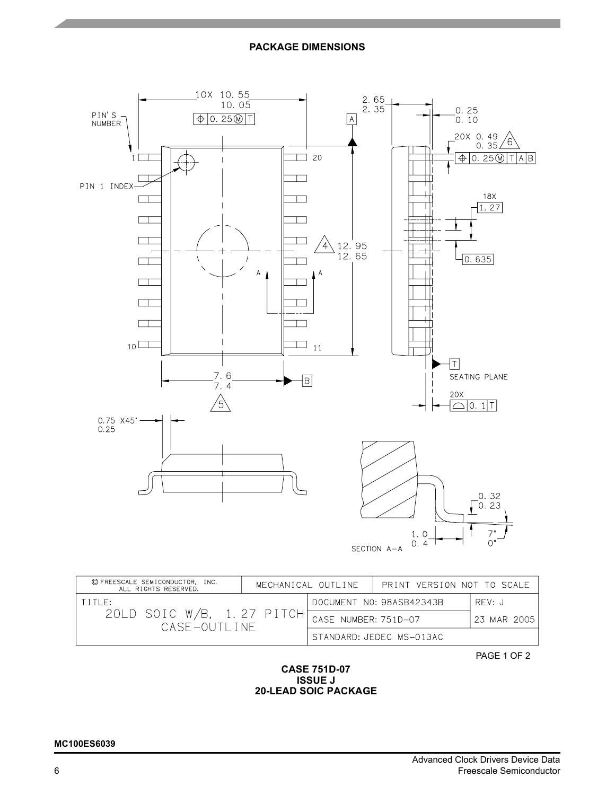# **PACKAGE DIMENSIONS**



| © FREESCALE SEMICONDUCTOR, INC.<br>ALL RIGHTS RESERVED. | MECHANICAL OUTLINE |                      | PRINT VERSION NOT TO SCALE |             |
|---------------------------------------------------------|--------------------|----------------------|----------------------------|-------------|
| ETTI ES                                                 |                    |                      | DOCUMENT NO: 98ASB42343B   | RFV:J       |
| 20LD SOIC W/B, 1.27 PITCH<br>CASE-OUTLINE               |                    | CASE NUMBER: 751D-07 |                            | 23 MAR 2005 |
|                                                         |                    |                      | STANDARD: JEDEC MS-013AC   |             |

PAGE 1 OF 2

## **CASE 751D-07 ISSUE J 20-LEAD SOIC PACKAGE**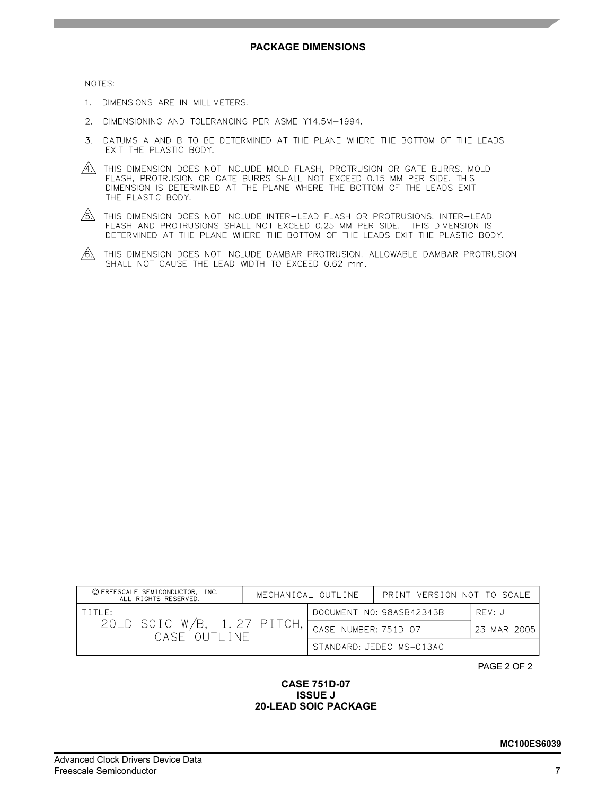NOTES:

- 1. DIMENSIONS ARE IN MILLIMETERS.
- 2. DIMENSIONING AND TOLERANCING PER ASME Y14.5M-1994.
- 3. DATUMS A AND B TO BE DETERMINED AT THE PLANE WHERE THE BOTTOM OF THE LEADS EXIT THE PLASTIC BODY.
- $\overline{A}$  this dimension does not include mold flash, protrusion or gate burrs. Mold FLASH, PROTRUSION OR GATE BURRS SHALL NOT EXCEED 0.15 MM PER SIDE. THIS DIMENSION IS DETERMINED AT THE PLANE WHERE THE BOTTOM OF THE LEADS EXIT THE PLASTIC BODY.
- $/5$ . This dimension does not include inter-lead flash or protrusions. Inter-lead FLASH AND PROTRUSIONS SHALL NOT EXCEED 0.25 MM PER SIDE. THIS DIMENSION IS DETERMINED AT THE PLANE WHERE THE BOTTOM OF THE LEADS EXIT THE PLASTIC BODY.
- $\sqrt{6}$  this dimension does not include dambar protrusion. Allowable dambar protrusion SHALL NOT CAUSE THE LEAD WIDTH TO EXCEED 0.62 mm.

| © FREESCALE SEMICONDUCTOR, INC.<br>ALL RIGHTS RESERVED. |  | MECHANICAL OUTLINE   | PRINT VERSION NOT TO SCALE |             |
|---------------------------------------------------------|--|----------------------|----------------------------|-------------|
| TITIF:                                                  |  |                      | DOCUMENT NO: 98ASB42343B   | RFV: J      |
| 20LD SOIC W/B, 1.27 PITCH<br>CASE OUTLINE               |  | CASE NUMBER: 7510-07 |                            | 23 MAR 2005 |
|                                                         |  |                      | STANDARD: JEDEC MS-013AC   |             |

PAGE 2 OF 2

## **CASE 751D-07 ISSUE J 20-LEAD SOIC PACKAGE**

## Advanced Clock Drivers Device Data Freescale Semiconductor 7

### **MC100ES6039**